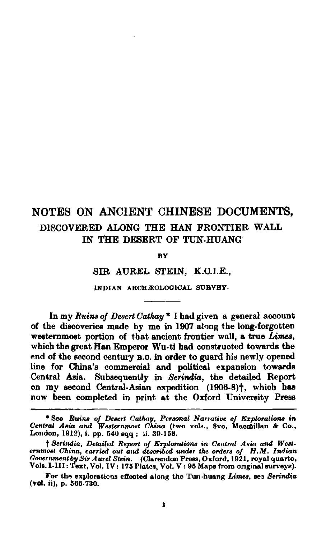## NOTES ON ANCIENT CHINESE DOCUMENTS. DISCOVERED ALONG THE HAN FRONTIER WALL IN THE DESERT OF TUN.HUANG

**BY** 

SIR AUREL STEIN, K.O.I.E.,

INDIAN ARCHÆOLOGICAL SURVEY.

In my Ruins of Desert Cathay<sup>\*</sup> I had given a general account of the discoveries made by me in 1907 along the long-forgotten westernmost portion of that ancient frontier wall, a true Limes, which the great Han Emperor Wu-ti had constructed towards the end of the second century B.C. in order to guard his newly opened line for China's commercial and political expansion towards Central Asia. Subsequently in Serindia, the detailed Report on my second Central-Asian expedition (1906-8)<sup>†</sup>, which has now been completed in print at the Oxford University Press

<sup>\*</sup> See Ruins of Desert Cathay, Personal Narrative of Explorations in Central Asia and Westernmost China (two vols., Svo, Macmillan & Co., London, 1912), i. pp. 540 sqq; ii. 39-158.

<sup>†</sup> Serindia, Detailed Report of Explorations in Central Asia and Westernmost China, carried out and described under the orders of H.M. Indian Government by Sir Aurel Stein. (Clarendon Press, Oxford, 1921, royal quarto, Vols. 1-III: Text, Vol. IV: 175 Plates, Vol. V: 95 Maps from original surveys).

For the explorations effected along the Tun-huang Limes, see Serindia (vol. ii), p. 566-730.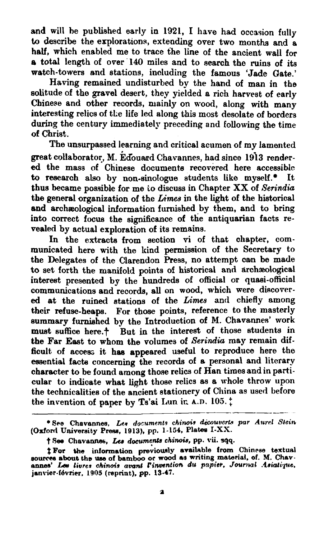and will he published early in 1921, I have **had** occasion fully to describe the explorations, extending over two months and a half, which enabled me to trace the line of the ancient wall for **e** total length of over 140 miles and to search the ruins of its watch-towers and stations, inoluding the famous 'Jade Gate.'

Having remained undisturbed by the hand of man in the solitude of tho gravel desert, they yielded a rich harvest of early Chinese and other records, mainly on wood, along with many interesting relics of the life led along this most desolate of borders during the century immediately preceding and following the time of Christ.

The unsurpassed learning and critical acumen of my lamented great collaborator, M. Edouard Chavannes, had since 1913 rendered the mass of Chinese documente recovered here accessible to research also by non-sinologue students like myself.<sup>\*</sup> It thus became possible for me to discuss in Chapter XX of *Serindia* the general organization of the *Limes* in the light of the historical **end** archaeological infomation furnished by them, and to bring into correct focus the significance of the antiquarian facts revealed by actual exploration of its remains.

In the extracts from section vi of that chapter, communicated here with the kind permission of the Secretary to the Delegates of the Clarendon Press, no attempt can be made to set forth the manifold points of historical and archaeological interest presented by the hundreds of official or quasi-official communications and records, all on wood, which were discovered at the ruined stations of the Limes and chiefly among their refuse-heaps. For those points, reference to the masterly summary furnished by the Introduction of M. Chavannes' work must suffice here.<sup>†</sup> But in the interest of those students in the Far East to whom the volumes of *Serindia* may remain difficult of access it has appeared useful to reproduce here the essential facts concerning the records of a personal and literary character to be found among those relics of Han times and in particular to indicate what light those relics as a whole throw upon the technicalities of the ancient stationery of China as used before the invention of paper by Ts'ai Lun ir. A.D. 105.<sup>+</sup>

**<sup>\*</sup>See Chavannes,** *Lnr* **documents** chinais **dhuvcrk** par *Aurd* **SEein**  (Oxford University Press, 1913), pp. 1-154, Plates I-XX.

 $\dagger$  **See** Chavannes, Les documents chinois, pp. vii. **sqq.** 

<sup>&</sup>lt;sup>†</sup> For the information previously available from Chinese textual sources about the use of bamboo or wood as writing material, of. M. Chavannes' Lev livres chinois avant Pinvention du papier, Journal Asiatique, janvier-fév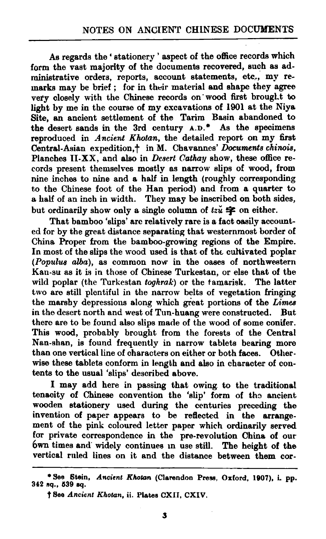**Ae** regards the ' stationery ' aspect of the office records which form the vast majority of the documents recovered, such as administrative orders, reports, account statements, etc,, my remarks may be brief ; for in their material and ehape they agree very closely with the Chinese records on wood first brought to light by me in the course of my excavations of 1901 at the Niya Site, **an** ancient settlement of the Tarim Basin abandoned to the desert sands in the 3rd century **A.D.\*** As the specimens reproduced in Ancient *Kholan,* the detailed report on my first Central-Asian expedition,? in M. Chavames' *Documents chinoia.*  Planches **II-XX**, and also in *Desert Cathay* show, these office records present themselves mostly as narrow slips of wood, from nine inches to nine and a half in length (roughly corresponding to the Chinese foot of the Han period) and from a quarter to a half of an inch in width. They may be inscribed on both sides, but ordinarily show only a single column of  $t\ddot{x}$   $\dot{\mathbf{\varphi}}$  on either.

That bamboo 'slips' are relatively rare is a fact oasily accounted for by the great distance separating that westernmost border of China Proper from the bamboo-growing regions of the Empire. In most of the slips the wood used is that of the cultivated poplar *(Populus alba)*, as common now in the oases of northwestern Kan-su as it is in those of Chinese Turkestan, or else that of the wild poplar (the Turkestan *toghrak)* or the tamarisk. The latter two are still plentiful in the narrow belts of vegetation fringing the marshy depressions along which great portions of the *Limes* in the desert north and west of Tun-huang were constructed. But in the desert north and west of Tun-huang were constructed. there are to be found also slips made of the wood of some conifer. This wood, probably brought from the forests of the Central Nan-shan, is found frequently in narrow tablets bearing more than one vertical line of characters on either or both faces. Otherwise these tablets conform in length and also in character of contents to the usual 'slips' described above.

I may add here in passing that owing to the traditional teneoity of Chinese convention the 'slip' form of ths ancient wooden stationery used during the centuries preceding the invention of paper appears to be reflected in the arrangement of the pink coloured letter paper which ordinarily **served**  far private correspondence in the pre-revolution China of our 6wn times and' widely continues In use still. The height of the vertical ruled lines on it and the distance between them cor-

**<sup>\*</sup>See** Stein, **Ancient** *Khotm* (Clarendon **Prese,** Oxford, **1807), i** pp. **342 oq., 639 iq.** 

**t Flee** *Ancicnt Khotun,* ii. **PLetee CXII, CXIV.**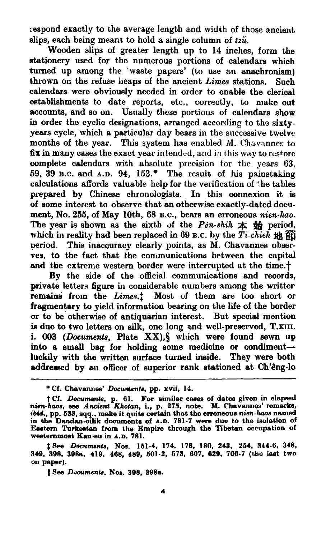respond exactly to the average length and width of those ancient slips, each being meant to hold a single column of tz*u*.

Wooden slips of greater length up to 14 inches, form the stationery used for the numerous portions of calendars which turned up among the 'waste papers' (to use an anachronism) thrown on the refuse heaps of the ancient *Limes* stations. Such calendars were obviously needed in order to enable the clerical establishments to date reports, etc., correctly, to make out accounts, and so on. Usually these portious of calendars show in order the cyclic designations, arranged according to the sixtyyears cycle, which a particular day bears in the successive twelve months of the year. This system has enabled M. Chavannes to fix in many cases the exact year intended, and in this way to restore complete calendars with absolute precision for the years 63, 59. 39 **B.C. and** A.D. 94, **153.-** The result of his painstaking calculations affords valuable help for the verification of the tables prepared by Chinese chronologists. In this comexion it is of eome interest to observe that an otherwise exactly-dated document, No. 255, of May 10th, 68 B.C., bears an erroneous *nien-hao*. The year is shown as the sixth of the  $P\acute{e}n\acute{e}n\acute{e}n\acute{e}n\acute{e}n\acute{e}n\acute{e}n\acute{e}n$  period, which in reality had been replaced in 69 B.C. by the  $Ti$ -chieh  $\frac{1}{2}$ period. This inaccuracy clearly **gointa,** as **&I.** Chavannes observes, to the fact that the communications between the capital and the extreme western border were interrupted at the time.<sup>†</sup>

By the side of the official communications and reoords, private letters figure in considerable numbers among the writter remains from the *Limes.*<sup>†</sup> Most of them are too short or fragmentary to yield information bearing on the life of the border or to be otherwise of antiquarian interest. But special mention is due to two letters on silk, one long and well-preserved,  $T.\text{x}$ III. i. 003 (*Documents*, Plate XX), § which were found sewn up into a small bag for holding some medicine or condimentluokily with the written surface turned inside. **They** were both addressed by an officer of superior rank stationed at Ch'êng-lo

<sup>\*</sup> Cf. Chavannes' *Documents*, pp. xvii, 14.

**Cf.** *Documen&,* **p. 61. For eimilar c- of dates given in slapeed** nim-hmu, **me Ancient** Rhotan, **i., p. 275, note. M. Chavannes' remarks,**  ibid., pp. 533, sqq.. make it quite certain that the erroneous nien-haos named<br>in the Dandan-oilik documents of A.D. 781-7 were due to the isolation of **Eastern Turkestan from the Empire through the Tibetan occupation of westemmoat Kan-mu in A.D. 781.** 

<sup>\$8</sup>ee **Documen&, Noe. 161-4, 174, 178, 180, 243, 254, 344-6, 348, 349, 398, 39b. 419, 468, 489, 601.2, 673, 607, 829, 708-7 (tho lagt two on paper).** 

<sup>§</sup> See Documents, Nos. 398, 398a.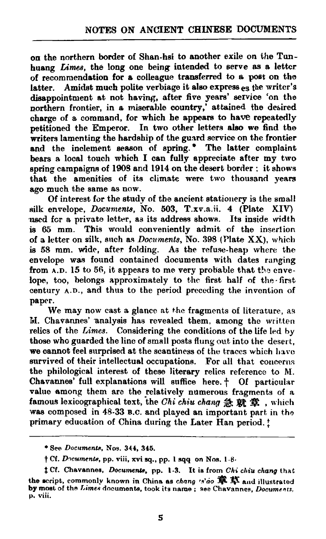on the northern border of Shan-hsi to another exile on the Tunhuang **Limes,** the long one being intended to serve as a letter of recommendation for **e** colleague transferred to a **post** on the latter. Amidst much polite verbiage it also express  $_{es}$  the writer's disappointment at not having, after five years' service 'on the northern frontier, in a miserable country,<sup>†</sup> attained the desired charge of a command, for which he appears to have repeatedly petitioned the Emperor. In two other letters also we find the writers lamenting the hardship of the guard service on the frontier and the inclement season of spring.<sup>\*</sup> The latter complaint bears a local touch which I can fully appreciate after my two spring campeigm of **1905** and 1914 on the desert border : it shows that the amenities of its climate were two thousand years ago much the same as now.

Of interest for the study of the ancient stationery is the small silk envelope, *Documents*, No. 503, T.xv.a.ii. 4 (Plate XIV) used for a private letter, as its address shows. Its inside width is 65 mm. This would conveniently admit of the insertion of a letter on silk, such as *Documents*, No. 398 (Plate  $XX$ ), which is **55** mm. wide, after folding. A3 the refuse-heap where the envelope **was** found contained documents with dates ranging from A.D. 15 to **56,** it appears to **me** very probable that **tbs** envelope, too, belongs approximately to the first half of the first century **A.D.,** and thus to the period preceding the invention of paper.

We may now cast a glance at the fragments of literature, as **t1.** Chavannes' analysis has revealed them, among the **writken**  relics of the **Limes.** Considering the conditions of the life led **hy**  those who guarded the line of small posts flung out into the desert. we cannot feel surprised at the scantiness of the traces which have survived of their intellectual occupations. For all that concerns the philological interest of these literary relics reference to M. Chavannes' full explanations will suffice here. <sup>+</sup> Of particular value among them ara the relatively numerous frsgments of a famous lexicographical text, the *Chi chiu chang* 急就章, which was composed in 48-33 B.C. and played an important part in the primary education of China during the Later Han period. :

**See Doc~nnen&, Nos. 344, 345.** 

t **Cf. Dqcumcnk, pp. viii. xvi sq., pp. 1 .qq on Nos. 1.8.** 

t Cf. Chavannes, Documente, pp. 1-3. It is from Chi chiu chang that the script, commonly known in China as chang  $\mathcal{C}$  is  $\hat{\mathbb{R}}$  if and illustrated **by mosl of thn Lime\* documente, took its name** ; **see Chavannee. Documsncs, p. viii.**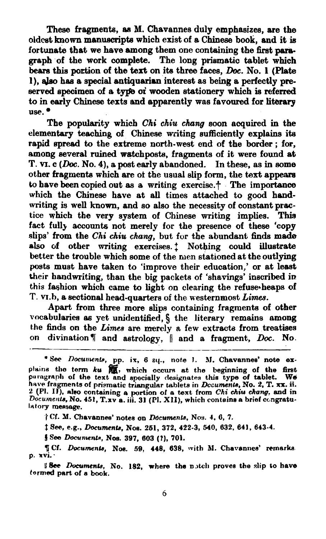These fragments, as M. Chavannes duly emphasizes, are the oldcet known mandpta which exist of a **Chinese** book, end it is fortunate that we have among them one containing the first paragraph of the work complete. The long priematic tablet which **bears this portion of the text on its three faces,** *Doc.* **No. 1 (Plate l), aJso** has a **special** antiquarian intereet **as** being **a** perfectly preserved specimen of a type of wooden stationery which is referred to in early Chinese texts and apparently was favoured for literary use.

The popularity which Chi chiu *chng* soon acquired in the elementary teaching of Chinese writing sufficiently explains its rapid spread to the extreme north-west end of the border : for, among several ruined watchposts, fragments of it were found at T. **VI.** c (Doc. No. 4), a post early abandoned. In these, as in some other fragments which are of the usual slip form, the text appears to have **been** copied out **as** a writing exercise.? The importance which the Chinese have at all times attached to good handwriting **is** well known, and so also the necessity of constant prectice which the very system of Chinese writing implies. **This**  fact full) accounts not merely for the presence of these 'copy slips' from the Chi chiu chang, but for the abundant finds made also of other writing exercises.<sup>†</sup> Nothing could illustrate better the trouble which some of the men stationed at the outlying **posts** muet have taken to 'improve their education,' or at **leeat**  their handwriting, than the big packets of 'shavings' inscribed in this feshion which came to light on clearing the refuse~heaps of T. VI.b, a sectional head-quarters of the westernmost Limes.

Apart from three more slips containing fragments of other vocabularies as yet unidentified, § the literary remains among the finds on the *Limes* are merely a few extracts from treatises on divination  $\P$  and astrology,  $\parallel$  and a fragment,  $Doc$ . No.

 $\dagger$  Cf. M. Chavannes' notes on *Documents*, Nos. 4, 6, 7.

**\$see, e.g.,** *hcumenb,* **NOS. 261,** *372,* **422-3, 540, 632, 841, 643-4.** 

**f** See *Documents*, Nos. 397, 603 (?), 701.

**I** See Documents, No. 182, where the notch proves the slip to have **tormed part of e book.** 

<sup>\*</sup> Sec Documents, pp. ix, 6 sq., note 1. M. Chavannes' note ex-See *Documents*, pp. ix, 6 sq., note 1. M. Chavannes' note explains the term  $ku$   $\frac{64}{100}$ , which occurs at the beginning of the first paragraph of the text and specially designates this type of tablet. We have fragment 2 (Pl. II), also containing a portion of a text from *Chi chiu chang*, and in<br>Documents, No. 451, T.xv a. iii. 31 (Pl. XII), which contains a brief congratu**latory mensege.** 

**a Cf.** *Doeunwn~s,* **No@. 59, 448, 838, with AI. Chavannee' remarka p. rvi:**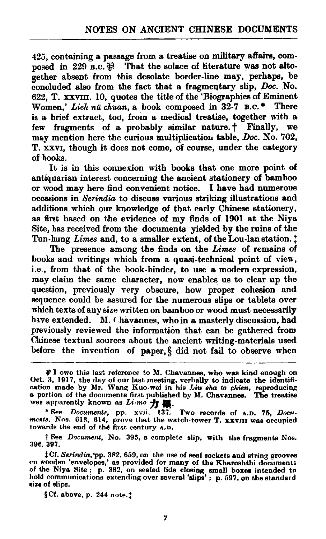425, containing a passage from a treabise on **military** affairs, composed in 229 **B.c.**  $\oplus$  That the solace of literature was not altogether absent from this desolate border-line may, perhaps, be concluded also from the fact that a fragmentary slip,  $Doc$ . No. 622, T. xxvm. 10, quotes the title of the 'Biographies of Eminent Women,' Lieh *nii chuan,* a book composed in 32-7 **B.C.** \* There is a brief extract, too, from a medical treatise, together with a few fragments of a probably similar nature.<sup>†</sup> Finally, we may mention here the curious multiplication table, Doc. No. 702, T. XXVI, though it does not come, 01 course, under the category of hooks.

It is in this connexion with books that one more point of antiquarian interest concerning the ancient stationery of bamboo or wood may here find convenient notice. I have had numerous occasions in Serindia to discuss various striking illustrations and additions which our knowledge of that early Chinese stationery, as first based on the evidence of my finds of 1901 at the Niya Site, **haa** received from the documents yielded by the ruins of the as first based on the evidence of my finds of 1901 at the Niya Site, has received from the documents yielded by the ruins of the Tun-hung Limes and, to a smaller extent, of the Lou-lan station.  $\ddot{ }$ 

The presence among the finds on the *Limes* of remains of books and writings which from a quasi-technical point of view, i.e., from that of the book-binder, to use a modern expression, may claim the same character, now enables us to clear up the question, previously very obscure, how proper cohesion and Requence could be assured for tho numerous slips or tablets over which texts of any size written on bamboo or **wood** must necessarily have extended. M. Chavannes, who in a masterly discussion, had previously reviewed the information that can be gathered from Chinese textual sources about the ancient writing-materials used before the invention of paper, **5** did not fail to observe when

ments, Nos. 613, 614, prove that the watch-tower T. XXVIII was occupied towards the end of thd **first** century **a.e.** 

**t** See Document, No. **395,** a complete slip, with the fragments **Nos. 396, 307.** 

§ Cf. above, p. 244 note.<sup>†</sup>

**<sup>#</sup>I** owe this last reference to M. Chavannes, who was kind enough on Oct. 3, 1917, the day of our last meeting, verbally to indicate the identification made by Mr. **Wang** Kuo-wei in hie **TAU** *aha* **to** *chien,* reproducing a portion of the documents first published by M. Chavannes. The treatise<br>was apparently known as  $Li-mo$   $\frac{1}{\sqrt{2}}\frac{100}{25}$ .<br>\* See Documents, pp. xvii, 137. Two records of A.D. 75, Docu-

 $\ddagger$ Cf. Serindin, pp. 382, 659, on the use of real sockets and string grooves on wooden 'envelopes,' as provided for many of the Kharoshthi documents of the Niya Site ; p. 382, on sealed lids closing small boxes intended to hold communications extending over several 'alips' ; p. 597, on the standard **size** of slips.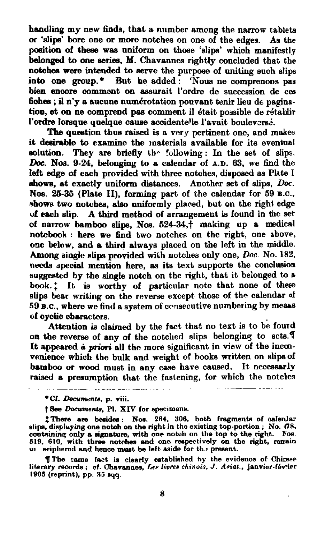handling my new finds, that a number among the narrow tablets **ot** 'slip' **bore** one or more notches on one of the edges. As **the**  poeition **af** these waa uniform on those **'dip'** which manifestly belonged to one series, M. Chavannes rightly concluded that the notchee were intended to aerve the purpose of uniting such slips into one group.<sup>\*</sup> But he added: 'Nous ne comprenons pas bien enoore comment on assurait l'ordre de succasion **de** ces bien encore comment on assurait l'ordre de succession de ces<br>fiohes ; il n'y a aucune numérotation pouvant tenir lieu de pagina-<br>tion, et on ne comprend pas comment il était possible de rétablir<br>l'exclusion lessons analyse l'ordre lorsque quelque cause accidentelle l'avait bouleversé.

The question thus raised is a very pertinent one, and makes it desirable to examine the materials available for **ita** eventual **solution. They** are briefly **th-** Iollowing : **In** the set of slips. *Doc.* **Nos. 9-24,** belonging to a calendar of A.D. 63, we **6nd** the left edge of each provided with three notches, disposed as **Phte l**  ahows, at exactly uniform distances. Another set of slips, Doc. Nos. 25-35 (Plate II), forming part of the calendar for 59 **B.C.**, shows two notches, also uniformly placed, but on the right edge of each slip. A third method of arrangement is found in **thc** set of naimw **bamboo elips, Nos. 524-34,f** making up a medical notebook : here we find two notches on the right, one above, **one** below, and **e** third always placed on the left in the **middle.**  Among single slips provided with notches only one, Doc. No. 182, needs special mention here, as its text supports the conclusion suggested by the single notch on the right, that it belonged to a book.<sup>\*</sup> It is worthy of particular note that none of these slips bear writing on the reverse except those of the calendar of 59 B.C., where we find a system of consecutive numbering by meaus of cyoiic cbaractors.

Attention is claimed by the fact that no text is to **be** fourd on the reverse of any of the notched slips belonging **to sote.7**  It **appeared i priori** ell the more significant in view of the incmvenience which the bulk and weight of books written on slips of bamboo or wood must in any case have caused. It necessarly raised a presumption that the fastening, for which the notches

<u> 1989 - Jan James James II, primeira e</u>

**\*Cf.** *Dau~ta,* **p. viii.** 

 $\dagger$  **Bee** *Documents*, Pl. XIV for specimens.

**\$There are beaid-: Noe. 284, 306, both fragmente of celenlar dip. displuying one notah on the right in the exieting top-portion** ; **No. 418. conkininq only a dgnatum, with one notch on the top to the right. FOR. 619. 610, with three notohes and one reepectively on the right. remin ul ecipliemd and hence muat be left aside for th 9 preeent.** 

**7The came fmt is cleerly eatabliehed hy the evidence of Chimee litersry recordn** ; **cf. Chavanaea, fie** *livre-9 chinois,* **J. Aaiat., jenvior-t6virr 1905 (reprint), pp. A5 eqq.**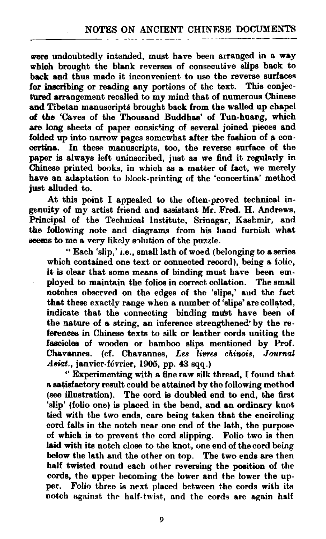were undoubtedly intended, must have been arranged in a way whioh brought the blank reverses of consecutive slips **beok** to **back and thus made it inconvenient to use the reverse surfaces** for inscribing or reading any portions of the text. This conjectured arrangement recalled to my mind that of numerous Chinese and Tibetan manuscripts brought back from the walled up chapel of **the** 'Caves of the Thousand Buddhas' of Tun-huang, which are long sheets of paper consisting of several joined pieces and folded up into narrow pages somewhat after the fashion of a concertina. In these manuscripts, too, the reverse surface of the paper is always left uninscribed, just as we find it regularly in Chinese printed books, in which as a matter of fact, we merely have an adaptation to block-printing of the 'concertina' method just alluded to.

At this point I appealed to the often-proved technicel ingenuity of my artist friend and assistant Mr. Fred. H. Andrews, Principal of the Technical Institute, Srinagar, **Kashmir,** and the following note and diagrams from his hand furnish what **aeems** to me a very likely solution of the puzzle.

" Each 'slip,' i.e., small lath of woed (belonging **to** aseries which contained one text or connected record), being a folio, it **is** clear that some means of binding must have **been** employed to maintain the folios in correct collation. The small notches observed on the edges of the 'slips,' and the fact that these exactly range when a number of 'slips' are collated, indicate that the connecting binding must have been of the nature of a string, an inferenoe strengthened'by the referenose in Chinese tests to silk or leather cords uniting the fascicles of wooden or bamboo slips mentioned by Prof. Chavannes. (cf. Chavannes, Les livres chinois, Journal  $A$ siat., janvier-février, 1905, pp. 43 sqq.)

" Experimenting with a fine raw silk thread, I found that **s** satisfactory result could be attained by tho following method **(see** illustration). The cord is doubled end to end, the first 'slip' (folio one) is placed in the bend, and an ordinary knot **tied** with the two ends, care being taken that the encircling cord falls in the notch near one end of the lath, the purpose of which is to prevent the cord slipping. Folio two **ie** then laid with its notch close to the knot, one end of the cord being below the lath and the other on top. The two ends are then half twisted round each other reversing the position of the cords, the upper becoming the lower and the lower the upper. Folio three is next placed between the cords with its notch against the half-twist, and the cords are again half

 $\boldsymbol{Q}$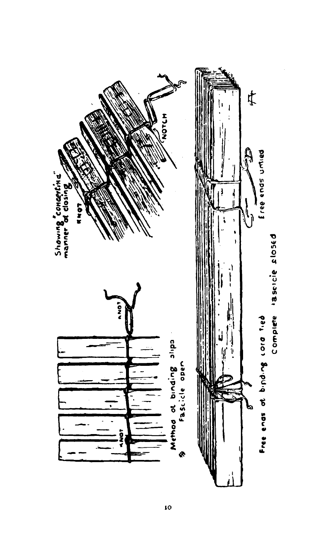